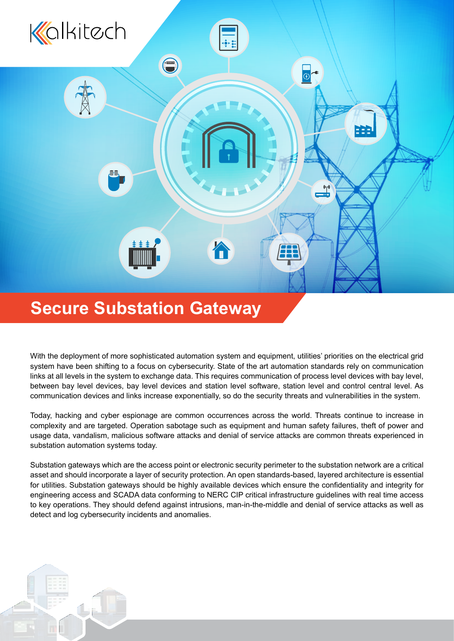

# **Secure Substation Gateway**

With the deployment of more sophisticated automation system and equipment, utilities' priorities on the electrical grid system have been shifting to a focus on cybersecurity. State of the art automation standards rely on communication links at all levels in the system to exchange data. This requires communication of process level devices with bay level, between bay level devices, bay level devices and station level software, station level and control central level. As communication devices and links increase exponentially, so do the security threats and vulnerabilities in the system.

Today, hacking and cyber espionage are common occurrences across the world. Threats continue to increase in complexity and are targeted. Operation sabotage such as equipment and human safety failures, theft of power and usage data, vandalism, malicious software attacks and denial of service attacks are common threats experienced in substation automation systems today.

Substation gateways which are the access point or electronic security perimeter to the substation network are a critical asset and should incorporate a layer of security protection. An open standards-based, layered architecture is essential for utilities. Substation gateways should be highly available devices which ensure the confidentiality and integrity for engineering access and SCADA data conforming to NERC CIP critical infrastructure guidelines with real time access to key operations. They should defend against intrusions, man-in-the-middle and denial of service attacks as well as detect and log cybersecurity incidents and anomalies.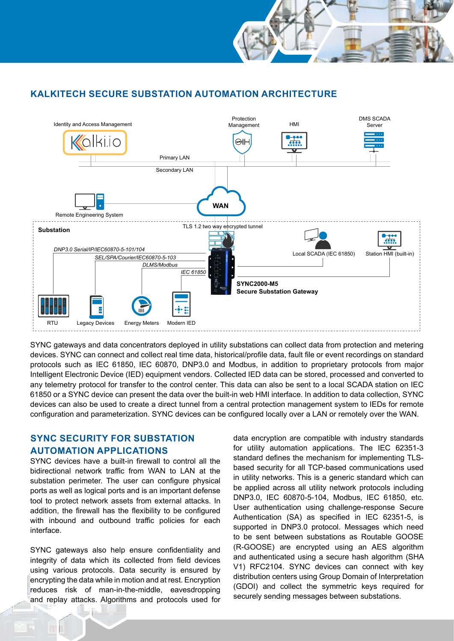## **KALKITECH SECURE SUBSTATION AUTOMATION ARCHITECTURE**



SYNC gateways and data concentrators deployed in utility substations can collect data from protection and metering devices. SYNC can connect and collect real time data, historical/profile data, fault file or event recordings on standard protocols such as IEC 61850, IEC 60870, DNP3.0 and Modbus, in addition to proprietary protocols from major Intelligent Electronic Device (IED) equipment vendors. Collected IED data can be stored, processed and converted to any telemetry protocol for transfer to the control center. This data can also be sent to a local SCADA station on IEC 61850 or a SYNC device can present the data over the built-in web HMI interface. In addition to data collection, SYNC devices can also be used to create a direct tunnel from a central protection management system to IEDs for remote configuration and parameterization. SYNC devices can be configured locally over a LAN or remotely over the WAN.

# **SYNC SECURITY FOR SUBSTATION AUTOMATION APPLICATIONS**

SYNC devices have a built-in firewall to control all the bidirectional network traffic from WAN to LAN at the substation perimeter. The user can configure physical ports as well as logical ports and is an important defense tool to protect network assets from external attacks. In addition, the firewall has the flexibility to be configured with inbound and outbound traffic policies for each interface.

SYNC gateways also help ensure confidentiality and integrity of data which its collected from field devices using various protocols. Data security is ensured by encrypting the data while in motion and at rest. Encryption reduces risk of man-in-the-middle, eavesdropping and replay attacks. Algorithms and protocols used for

data encryption are compatible with industry standards for utility automation applications. The IEC 62351-3 standard defines the mechanism for implementing TLSbased security for all TCP-based communications used in utility networks. This is a generic standard which can be applied across all utility network protocols including DNP3.0, IEC 60870-5-104, Modbus, IEC 61850, etc. User authentication using challenge-response Secure Authentication (SA) as specified in IEC 62351-5, is supported in DNP3.0 protocol. Messages which need to be sent between substations as Routable GOOSE (R-GOOSE) are encrypted using an AES algorithm and authenticated using a secure hash algorithm (SHA V1) RFC2104. SYNC devices can connect with key distribution centers using Group Domain of Interpretation (GDOI) and collect the symmetric keys required for securely sending messages between substations.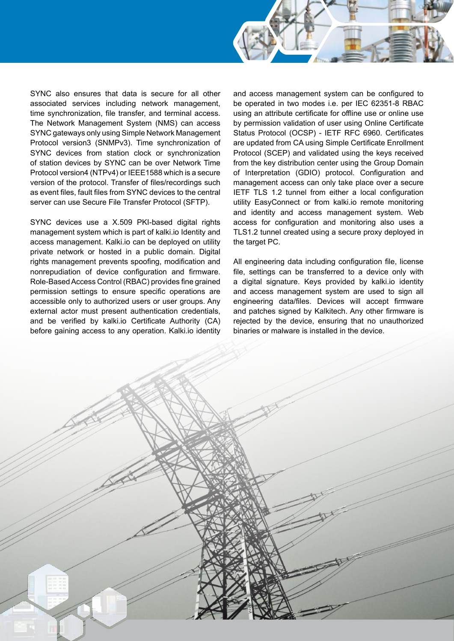SYNC also ensures that data is secure for all other associated services including network management, time synchronization, file transfer, and terminal access. The Network Management System (NMS) can access SYNC gateways only using Simple Network Management Protocol version3 (SNMPv3). Time synchronization of SYNC devices from station clock or synchronization of station devices by SYNC can be over Network Time Protocol version4 (NTPv4) or IEEE1588 which is a secure version of the protocol. Transfer of files/recordings such as event files, fault files from SYNC devices to the central server can use Secure File Transfer Protocol (SFTP).

SYNC devices use a X.509 PKI-based digital rights management system which is part of kalki.io Identity and access management. Kalki.io can be deployed on utility private network or hosted in a public domain. Digital rights management prevents spoofing, modification and nonrepudiation of device configuration and firmware. Role-Based Access Control (RBAC) provides fine grained permission settings to ensure specific operations are accessible only to authorized users or user groups. Any external actor must present authentication credentials, and be verified by kalki.io Certificate Authority (CA) before gaining access to any operation. Kalki.io identity

and access management system can be configured to be operated in two modes i.e. per IEC 62351-8 RBAC using an attribute certificate for offline use or online use by permission validation of user using Online Certificate Status Protocol (OCSP) - IETF RFC 6960. Certificates are updated from CA using Simple Certificate Enrollment Protocol (SCEP) and validated using the keys received from the key distribution center using the Group Domain of Interpretation (GDIO) protocol. Configuration and management access can only take place over a secure IETF TLS 1.2 tunnel from either a local configuration utility EasyConnect or from kalki.io remote monitoring and identity and access management system. Web access for configuration and monitoring also uses a TLS1.2 tunnel created using a secure proxy deployed in the target PC.

All engineering data including configuration file, license file, settings can be transferred to a device only with a digital signature. Keys provided by kalki.io identity and access management system are used to sign all engineering data/files. Devices will accept firmware and patches signed by Kalkitech. Any other firmware is rejected by the device, ensuring that no unauthorized binaries or malware is installed in the device.